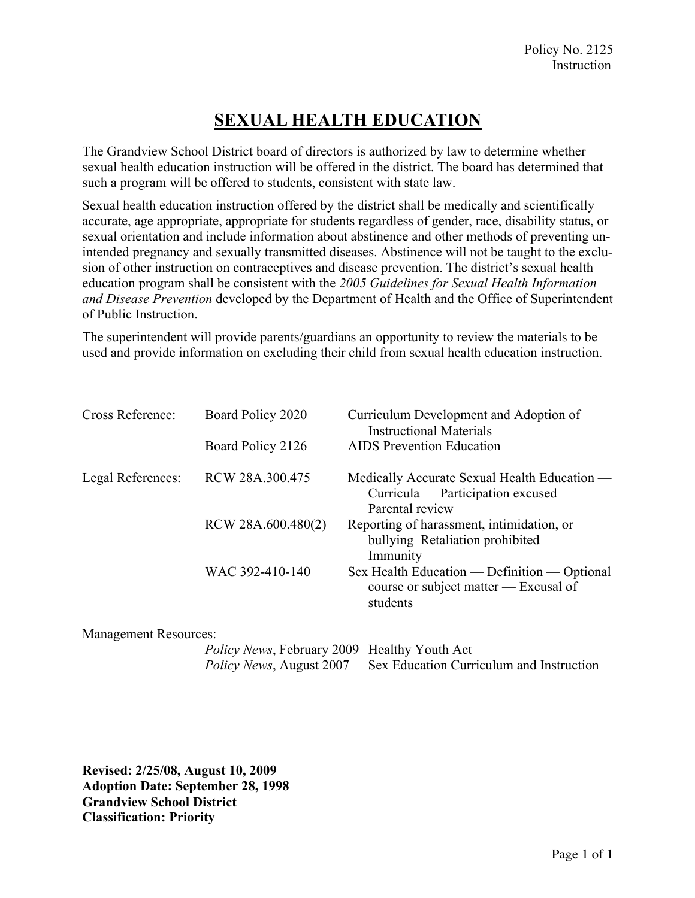## **SEXUAL HEALTH EDUCATION**

The Grandview School District board of directors is authorized by law to determine whether sexual health education instruction will be offered in the district. The board has determined that such a program will be offered to students, consistent with state law.

Sexual health education instruction offered by the district shall be medically and scientifically accurate, age appropriate, appropriate for students regardless of gender, race, disability status, or sexual orientation and include information about abstinence and other methods of preventing unintended pregnancy and sexually transmitted diseases. Abstinence will not be taught to the exclusion of other instruction on contraceptives and disease prevention. The district's sexual health education program shall be consistent with the *2005 Guidelines for Sexual Health Information and Disease Prevention* developed by the Department of Health and the Office of Superintendent of Public Instruction.

The superintendent will provide parents/guardians an opportunity to review the materials to be used and provide information on excluding their child from sexual health education instruction.

| Cross Reference:  | Board Policy 2020<br>Board Policy 2126 | Curriculum Development and Adoption of<br><b>Instructional Materials</b><br><b>AIDS</b> Prevention Education  |
|-------------------|----------------------------------------|---------------------------------------------------------------------------------------------------------------|
| Legal References: | RCW 28A.300.475                        | Medically Accurate Sexual Health Education —<br>Curricula — Participation excused —                           |
|                   | RCW 28A.600.480(2)                     | Parental review<br>Reporting of harassment, intimidation, or<br>bullying Retaliation prohibited —             |
|                   | WAC 392-410-140                        | Immunity<br>Sex Health Education — Definition — Optional<br>course or subject matter — Excusal of<br>students |
|                   |                                        |                                                                                                               |

Management Resources:

| <i>Policy News</i> , February 2009 Healthy Youth Act |                                          |
|------------------------------------------------------|------------------------------------------|
| <i>Policy News, August 2007</i>                      | Sex Education Curriculum and Instruction |

**Revised: 2/25/08, August 10, 2009 Adoption Date: September 28, 1998 Grandview School District Classification: Priority**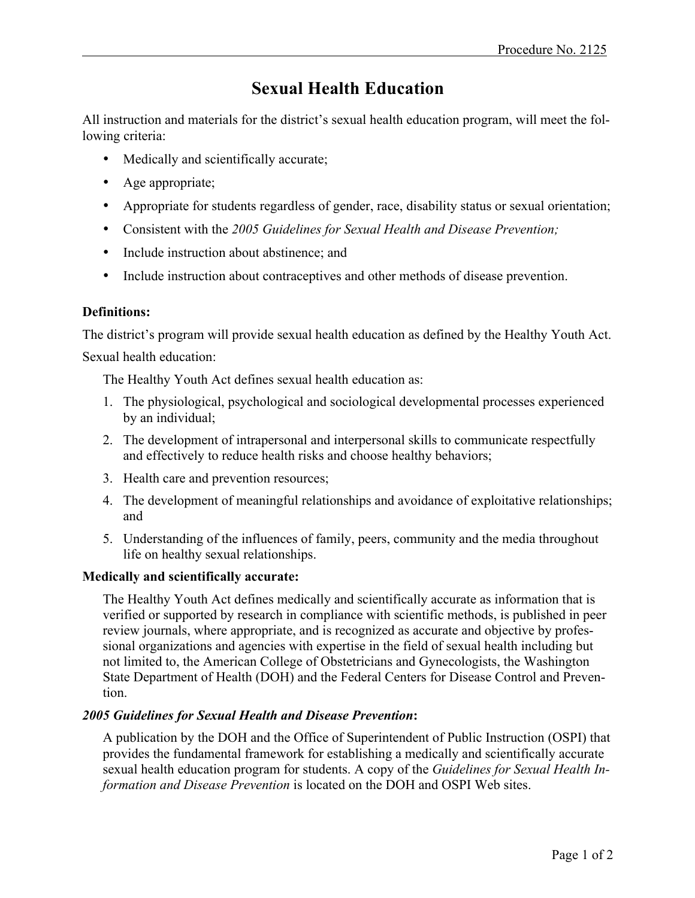# **Sexual Health Education**

All instruction and materials for the district's sexual health education program, will meet the following criteria:

- Medically and scientifically accurate;
- Age appropriate;
- Appropriate for students regardless of gender, race, disability status or sexual orientation;
- Consistent with the *2005 Guidelines for Sexual Health and Disease Prevention;*
- Include instruction about abstinence; and
- Include instruction about contraceptives and other methods of disease prevention.

## **Definitions:**

The district's program will provide sexual health education as defined by the Healthy Youth Act. Sexual health education:

The Healthy Youth Act defines sexual health education as:

- 1. The physiological, psychological and sociological developmental processes experienced by an individual;
- 2. The development of intrapersonal and interpersonal skills to communicate respectfully and effectively to reduce health risks and choose healthy behaviors;
- 3. Health care and prevention resources;
- 4. The development of meaningful relationships and avoidance of exploitative relationships; and
- 5. Understanding of the influences of family, peers, community and the media throughout life on healthy sexual relationships.

### **Medically and scientifically accurate:**

The Healthy Youth Act defines medically and scientifically accurate as information that is verified or supported by research in compliance with scientific methods, is published in peer review journals, where appropriate, and is recognized as accurate and objective by professional organizations and agencies with expertise in the field of sexual health including but not limited to, the American College of Obstetricians and Gynecologists, the Washington State Department of Health (DOH) and the Federal Centers for Disease Control and Prevention.

## *2005 Guidelines for Sexual Health and Disease Prevention***:**

A publication by the DOH and the Office of Superintendent of Public Instruction (OSPI) that provides the fundamental framework for establishing a medically and scientifically accurate sexual health education program for students. A copy of the *Guidelines for Sexual Health Information and Disease Prevention* is located on the DOH and OSPI Web sites.